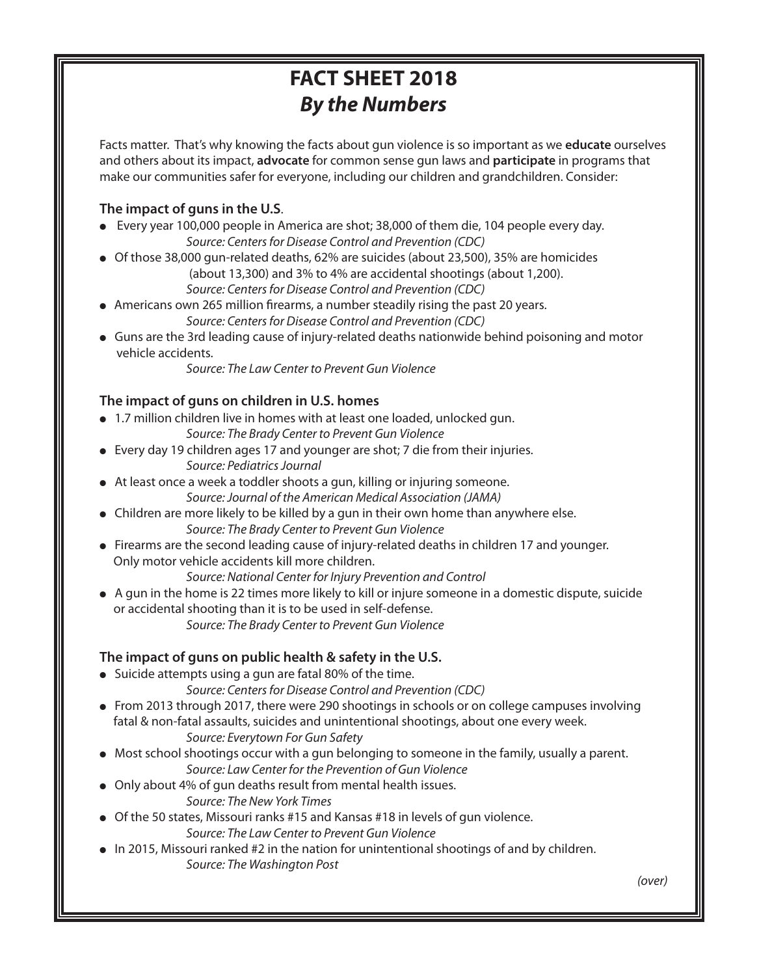# **FACT SHEET 2018** *By the Numbers*

Facts matter. That's why knowing the facts about gun violence is so important as we **educate** ourselves and others about its impact, **advocate** for common sense gun laws and **participate** in programs that make our communities safer for everyone, including our children and grandchildren. Consider:

### **The impact of guns in the U.S**.

- Every year 100,000 people in America are shot; 38,000 of them die, 104 people every day. Source: Centers for Disease Control and Prevention (CDC)
- $\bullet$  Of those 38,000 gun-related deaths, 62% are suicides (about 23,500), 35% are homicides (about 13,300) and 3% to 4% are accidental shootings (about 1,200).
	- Source: Centers for Disease Control and Prevention (CDC)
- Americans own 265 million firearms, a number steadily rising the past 20 years. Source: Centers for Disease Control and Prevention (CDC)
- <sup>l</sup> Guns are the 3rd leading cause of injury-related deaths nationwide behind poisoning and motor vehicle accidents.

Source: The Law Center to Prevent Gun Violence

### **The impact of guns on children in U.S. homes**

• 1.7 million children live in homes with at least one loaded, unlocked gun.

Source: The Brady Center to Prevent Gun Violence

- Every day 19 children ages 17 and younger are shot; 7 die from their injuries. Source: Pediatrics Journal
- At least once a week a toddler shoots a gun, killing or injuring someone. Source:Journal of the American Medical Association (JAMA)
- $\bullet$  Children are more likely to be killed by a gun in their own home than anywhere else. Source: The Brady Center to Prevent Gun Violence
- Firearms are the second leading cause of injury-related deaths in children 17 and younger. Only motor vehicle accidents kill more children.

Source: National Center for Injury Prevention and Control

 $\bullet$  A gun in the home is 22 times more likely to kill or injure someone in a domestic dispute, suicide or accidental shooting than it is to be used in self-defense. Source: The Brady Center to Prevent Gun Violence

## **The impact of guns on public health & safety in the U.S.**

- $\bullet$  Suicide attempts using a gun are fatal 80% of the time.
	- Source: Centers for Disease Control and Prevention (CDC)
- $\bullet$  From 2013 through 2017, there were 290 shootings in schools or on college campuses involving fatal & non-fatal assaults, suicides and unintentional shootings, about one every week. Source: Everytown For Gun Safety
- $\bullet$  Most school shootings occur with a gun belonging to someone in the family, usually a parent. Source: Law Center for the Prevention of Gun Violence
- Only about 4% of gun deaths result from mental health issues.
	- Source: The New York Times
- $\bullet$  Of the 50 states, Missouri ranks #15 and Kansas #18 in levels of gun violence.
	- Source: The Law Center to Prevent Gun Violence
- $\bullet$  In 2015, Missouri ranked #2 in the nation for unintentional shootings of and by children. Source: The Washington Post

(over)